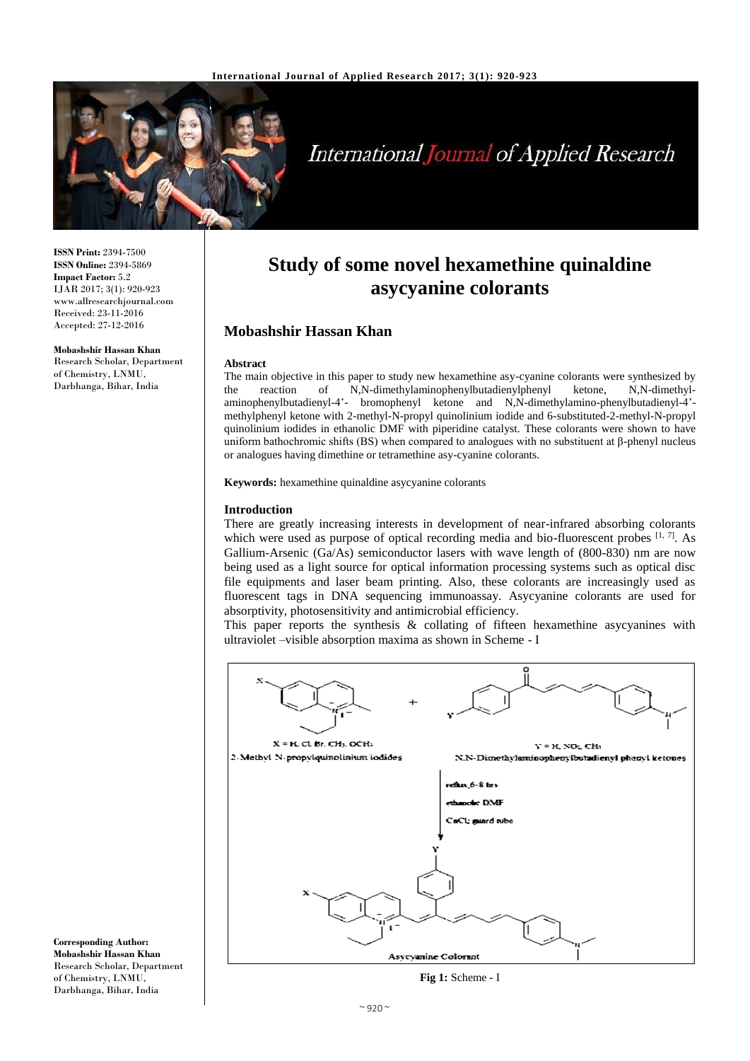

# International Journal of Applied Research

**ISSN Print:** 2394-7500 **ISSN Online:** 2394-5869 **Impact Factor:** 5.2 IJAR 2017; 3(1): 920-923 www.allresearchjournal.com Received: 23-11-2016 Accepted: 27-12-2016

**Mobashshir Hassan Khan** Research Scholar, Department of Chemistry, LNMU, Darbhanga, Bihar, India

# **Study of some novel hexamethine quinaldine asycyanine colorants**

# **Mobashshir Hassan Khan**

#### **Abstract**

The main objective in this paper to study new hexamethine asy-cyanine colorants were synthesized by the reaction of N,N-dimethylaminophenylbutadienylphenyl ketone, N,N-dimethylaminophenylbutadienyl-4'- bromophenyl ketone and N,N-dimethylamino-phenylbutadienyl-4' methylphenyl ketone with 2-methyl-N-propyl quinolinium iodide and 6-substituted-2-methyl-N-propyl quinolinium iodides in ethanolic DMF with piperidine catalyst. These colorants were shown to have uniform bathochromic shifts (BS) when compared to analogues with no substituent at β-phenyl nucleus or analogues having dimethine or tetramethine asy-cyanine colorants.

**Keywords:** hexamethine quinaldine asycyanine colorants

#### **Introduction**

There are greatly increasing interests in development of near-infrared absorbing colorants which were used as purpose of optical recording media and bio-fluorescent probes [1, 7]. As Gallium-Arsenic (Ga/As) semiconductor lasers with wave length of (800-830) nm are now being used as a light source for optical information processing systems such as optical disc file equipments and laser beam printing. Also, these colorants are increasingly used as fluorescent tags in DNA sequencing immunoassay. Asycyanine colorants are used for absorptivity, photosensitivity and antimicrobial efficiency.

This paper reports the synthesis & collating of fifteen hexamethine asycyanines with ultraviolet –visible absorption maxima as shown in Scheme - I



**Fig 1:** Scheme - I

**Corresponding Author: Mobashshir Hassan Khan** Research Scholar, Department of Chemistry, LNMU, Darbhanga, Bihar, India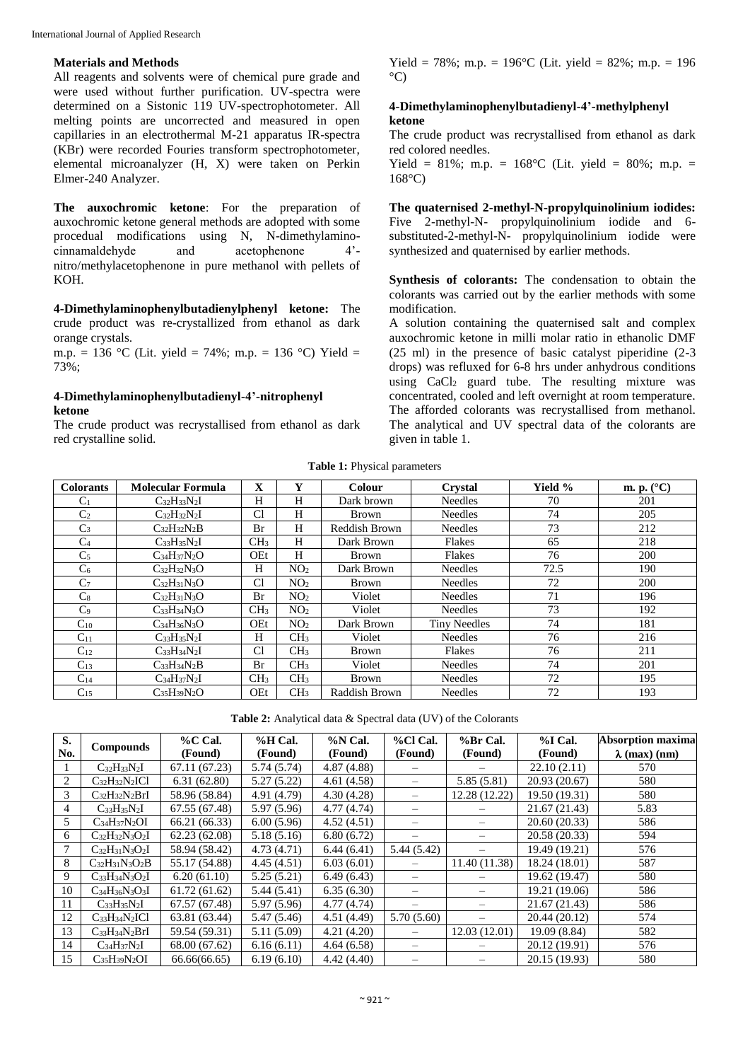#### **Materials and Methods**

All reagents and solvents were of chemical pure grade and were used without further purification. UV-spectra were determined on a Sistonic 119 UV-spectrophotometer. All melting points are uncorrected and measured in open capillaries in an electrothermal M-21 apparatus IR-spectra (KBr) were recorded Fouries transform spectrophotometer, elemental microanalyzer (H, X) were taken on Perkin Elmer-240 Analyzer.

**The auxochromic ketone**: For the preparation of auxochromic ketone general methods are adopted with some procedual modifications using N, N-dimethylaminocinnamaldehyde and acetophenone 4' nitro/methylacetophenone in pure methanol with pellets of KOH.

**4-Dimethylaminophenylbutadienylphenyl ketone:** The crude product was re-crystallized from ethanol as dark orange crystals.

m.p. = 136 °C (Lit. yield = 74%; m.p. = 136 °C) Yield = 73%;

# **4-Dimethylaminophenylbutadienyl-4'-nitrophenyl ketone**

The crude product was recrystallised from ethanol as dark red crystalline solid.

Yield = 78%; m.p. = 196 °C (Lit. yield = 82%; m.p. = 196  $^{\circ}$ C)

# **4-Dimethylaminophenylbutadienyl-4'-methylphenyl ketone**

The crude product was recrystallised from ethanol as dark red colored needles.

Yield = 81%; m.p. =  $168^{\circ}$ C (Lit. yield = 80%; m.p. =  $168^{\circ}$ C)

**The quaternised 2-methyl-N-propylquinolinium iodides:** Five 2-methyl-N- propylquinolinium iodide and 6 substituted-2-methyl-N- propylquinolinium iodide were synthesized and quaternised by earlier methods.

**Synthesis of colorants:** The condensation to obtain the colorants was carried out by the earlier methods with some modification.

A solution containing the quaternised salt and complex auxochromic ketone in milli molar ratio in ethanolic DMF (25 ml) in the presence of basic catalyst piperidine (2-3 drops) was refluxed for 6-8 hrs under anhydrous conditions using  $CaCl<sub>2</sub>$  guard tube. The resulting mixture was concentrated, cooled and left overnight at room temperature. The afforded colorants was recrystallised from methanol. The analytical and UV spectral data of the colorants are given in table 1.

**Table 1:** Physical parameters

| <b>Colorants</b> | Molecular Formula    | $\mathbf X$     | Y               | <b>Colour</b> | Crystal             | Yield % | m. p. $(^{\circ}C)$ |
|------------------|----------------------|-----------------|-----------------|---------------|---------------------|---------|---------------------|
| C <sub>1</sub>   | $C_{32}H_{33}N_{2}I$ | H               | H               | Dark brown    | <b>Needles</b>      | 70      | 201                 |
| C <sub>2</sub>   | $C_{32}H_{32}N_{2}I$ | Cl              | H               | <b>Brown</b>  | <b>Needles</b>      | 74      | 205                 |
| C <sub>3</sub>   | $C_{32}H_{32}N_2B$   | Br              | H               | Reddish Brown | <b>Needles</b>      | 73      | 212                 |
| C <sub>4</sub>   | $C_{33}H_{35}N_{2}I$ | CH <sub>3</sub> | H               | Dark Brown    | Flakes              | 65      | 218                 |
| C <sub>5</sub>   | $C_{34}H_{37}N_{2}O$ | <b>OEt</b>      | H               | <b>Brown</b>  | Flakes              | 76      | 200                 |
| C <sub>6</sub>   | $C_{32}H_{32}N_3O$   | H               | NO <sub>2</sub> | Dark Brown    | <b>Needles</b>      | 72.5    | 190                 |
| C <sub>7</sub>   | $C_{32}H_{31}N_3O$   | C <sub>1</sub>  | NO <sub>2</sub> | <b>Brown</b>  | <b>Needles</b>      | 72      | 200                 |
| $\mathrm{C}_8$   | $C32H31N3O$          | Br              | NO <sub>2</sub> | Violet        | <b>Needles</b>      | 71      | 196                 |
| C <sub>9</sub>   | $C_{33}H_{34}N_3O$   | CH <sub>3</sub> | NO <sub>2</sub> | Violet        | <b>Needles</b>      | 73      | 192                 |
| $C_{10}$         | $C_{34}H_{36}N_{3}O$ | OEt             | NO <sub>2</sub> | Dark Brown    | <b>Tiny Needles</b> | 74      | 181                 |
| $C_{11}$         | $C_{33}H_{35}N_{2}I$ | H               | CH <sub>3</sub> | Violet        | <b>Needles</b>      | 76      | 216                 |
| $C_{12}$         | $C_{33}H_{34}N_{2}I$ | C <sub>1</sub>  | CH <sub>3</sub> | <b>Brown</b>  | Flakes              | 76      | 211                 |
| $C_{13}$         | $C_{33}H_{34}N_2B$   | Br              | CH <sub>3</sub> | Violet        | <b>Needles</b>      | 74      | 201                 |
| $C_{14}$         | $C_{34}H_{37}N_{2}I$ | CH <sub>3</sub> | CH <sub>3</sub> | <b>Brown</b>  | <b>Needles</b>      | 72      | 195                 |
| $C_{15}$         | $C_{35}H_{39}N_{2}O$ | OEt             | CH <sub>3</sub> | Raddish Brown | <b>Needles</b>      | 72      | 193                 |

**Table 2:** Analytical data & Spectral data (UV) of the Colorants

| S.  | <b>Compounds</b>      | $\%$ C Cal.   | $%H$ Cal.   | $%$ N Cal. | %Cl Cal.   | %Br Cal.      | $%$ I Cal.    | <b>Absorption maxima</b> |
|-----|-----------------------|---------------|-------------|------------|------------|---------------|---------------|--------------------------|
| No. |                       | (Found)       | (Found)     | (Found)    | (Found)    | (Found)       | (Found)       | $\lambda$ (max) (nm)     |
|     | $C_{32}H_{33}N_2I$    | 67.11(67.23)  | 5.74 (5.74) | 4.87(4.88) |            |               | 22.10(2.11)   | 570                      |
| 2   | $C_{32}H_{32}N_2IC1$  | 6.31(62.80)   | 5.27(5.22)  | 4.61(4.58) |            | 5.85(5.81)    | 20.93 (20.67) | 580                      |
| 3   | $C_{32}H_{32}N_2BrI$  | 58.96 (58.84) | 4.91 (4.79) | 4.30(4.28) |            | 12.28 (12.22) | 19.50 (19.31) | 580                      |
| 4   | $C_{33}H_{35}N_2I$    | 67.55 (67.48) | 5.97(5.96)  | 4.77(4.74) |            |               | 21.67 (21.43) | 5.83                     |
| 5   | $C34H37N2OI$          | 66.21 (66.33) | 6.00(5.96)  | 4.52(4.51) |            |               | 20.60 (20.33) | 586                      |
| 6   | $C_{32}H_{32}N_3O_2I$ | 62.23(62.08)  | 5.18(5.16)  | 6.80(6.72) |            |               | 20.58 (20.33) | 594                      |
|     | $C_{32}H_{31}N_3O_2I$ | 58.94 (58.42) | 4.73(4.71)  | 6.44(6.41) | 5.44(5.42) |               | 19.49 (19.21) | 576                      |
| 8   | $C_{32}H_{31}N_3O_2B$ | 55.17 (54.88) | 4.45(4.51)  | 6.03(6.01) |            | 11.40 (11.38) | 18.24 (18.01) | 587                      |
| 9   | $C_{33}H_{34}N_3O_2I$ | 6.20(61.10)   | 5.25(5.21)  | 6.49(6.43) |            |               | 19.62 (19.47) | 580                      |
| 10  | $C_{34}H_{36}N_3O_3I$ | 61.72(61.62)  | 5.44(5.41)  | 6.35(6.30) |            |               | 19.21 (19.06) | 586                      |
| 11  | $C_{33}H_{35}N_{2}I$  | 67.57 (67.48) | 5.97 (5.96) | 4.77(4.74) |            |               | 21.67 (21.43) | 586                      |
| 12  | $C_{33}H_{34}N_2IC1$  | 63.81 (63.44) | 5.47(5.46)  | 4.51(4.49) | 5.70(5.60) |               | 20.44 (20.12) | 574                      |
| 13  | $C_{33}H_{34}N_2BrI$  | 59.54 (59.31) | 5.11 (5.09) | 4.21(4.20) |            | 12.03(12.01)  | 19.09 (8.84)  | 582                      |
| 14  | $C_{34}H_{37}N_2I$    | 68.00 (67.62) | 6.16(6.11)  | 4.64(6.58) |            |               | 20.12 (19.91) | 576                      |
| 15  | $C_{35}H_{39}N_2OI$   | 66.66(66.65)  | 6.19(6.10)  | 4.42(4.40) |            |               | 20.15 (19.93) | 580                      |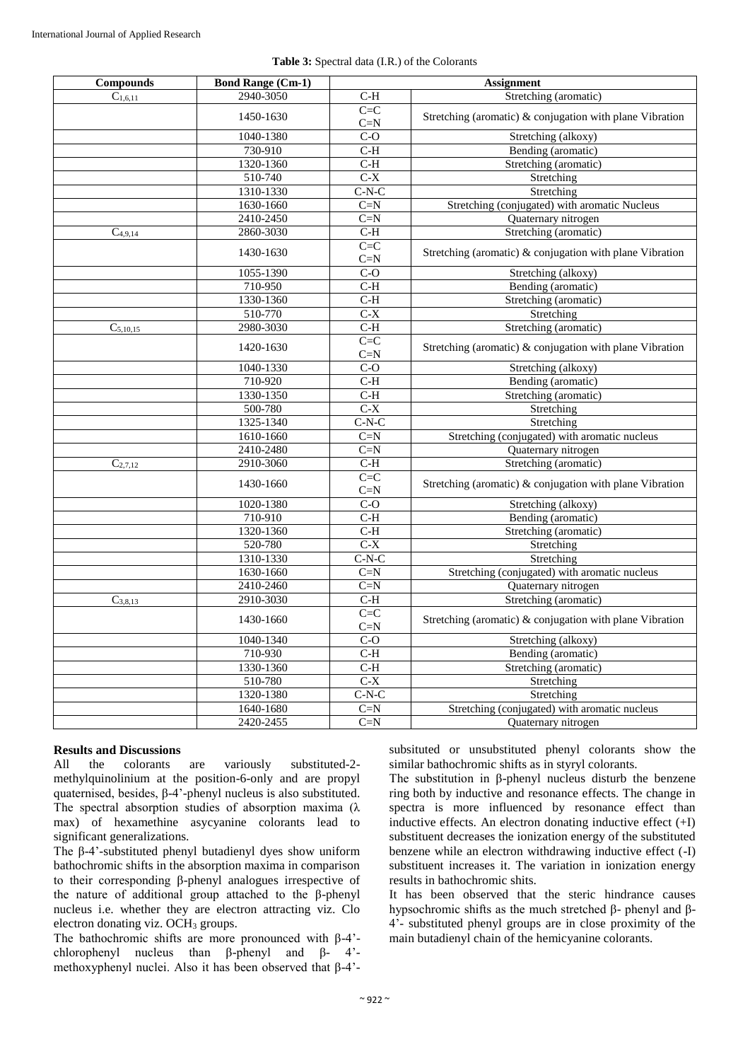| <b>Compounds</b> | <b>Bond Range (Cm-1)</b> | <b>Assignment</b>    |                                                          |  |  |
|------------------|--------------------------|----------------------|----------------------------------------------------------|--|--|
| $C_{1,6,11}$     | 2940-3050                | $C-H$                | Stretching (aromatic)                                    |  |  |
|                  | 1450-1630                | $C = C$<br>$C=N$     | Stretching (aromatic) & conjugation with plane Vibration |  |  |
|                  | 1040-1380                | $C-O$                | Stretching (alkoxy)                                      |  |  |
|                  | 730-910                  | $C-H$                | Bending (aromatic)                                       |  |  |
|                  | 1320-1360                | $C-H$                | Stretching (aromatic)                                    |  |  |
|                  | 510-740                  | $C-X$                | Stretching                                               |  |  |
|                  | 1310-1330                | $C-N-C$              | Stretching                                               |  |  |
|                  | 1630-1660                | $C=N$                | Stretching (conjugated) with aromatic Nucleus            |  |  |
|                  | 2410-2450                | $C=N$                | Quaternary nitrogen                                      |  |  |
| $C_{4,9,14}$     | 2860-3030                | $C-H$                | Stretching (aromatic)                                    |  |  |
|                  | 1430-1630                | $C = C$<br>$C=N$     | Stretching (aromatic) & conjugation with plane Vibration |  |  |
|                  | 1055-1390                | $\overline{C-O}$     | Stretching (alkoxy)                                      |  |  |
|                  | 710-950                  | $\overline{C-H}$     | Bending (aromatic)                                       |  |  |
|                  | 1330-1360                | $\overline{C-H}$     | Stretching (aromatic)                                    |  |  |
|                  | 510-770                  | $C-X$                | Stretching                                               |  |  |
| $C_{5,10,15}$    | 2980-3030                | $C-H$                | Stretching (aromatic)                                    |  |  |
|                  | 1420-1630                | $C = C$<br>$C=N$     | Stretching (aromatic) & conjugation with plane Vibration |  |  |
|                  | 1040-1330                | $C-O$                | Stretching (alkoxy)                                      |  |  |
|                  | 710-920                  | $C-H$                | Bending (aromatic)                                       |  |  |
|                  | 1330-1350                | $C-H$                | Stretching (aromatic)                                    |  |  |
|                  | 500-780                  | $\overline{C-X}$     | Stretching                                               |  |  |
|                  | 1325-1340                | $C-N-C$              | Stretching                                               |  |  |
|                  | 1610-1660                | $C=N$                | Stretching (conjugated) with aromatic nucleus            |  |  |
|                  | 2410-2480                | $C=N$                | Quaternary nitrogen                                      |  |  |
| $C_{2,7,12}$     | 2910-3060                | C-H                  | Stretching (aromatic)                                    |  |  |
|                  | 1430-1660                | $C = C$<br>$C=N$     | Stretching (aromatic) & conjugation with plane Vibration |  |  |
|                  | 1020-1380                | $C-O$                | Stretching (alkoxy)                                      |  |  |
|                  | 710-910                  | $C-H$                | Bending (aromatic)                                       |  |  |
|                  | 1320-1360                | $C-H$                | Stretching (aromatic)                                    |  |  |
|                  | 520-780                  | $C-X$                | Stretching                                               |  |  |
|                  | 1310-1330                | $C-N-C$              | Stretching                                               |  |  |
|                  | 1630-1660                | $C=N$                | Stretching (conjugated) with aromatic nucleus            |  |  |
|                  | 2410-2460                | $C=N$                | Quaternary nitrogen                                      |  |  |
| $C_{3,8,13}$     | 2910-3030                | $\operatorname{C-H}$ | Stretching (aromatic)                                    |  |  |
|                  | 1430-1660                | $C = C$<br>$C=N$     | Stretching (aromatic) & conjugation with plane Vibration |  |  |
|                  | 1040-1340                | $C-O$                | Stretching (alkoxy)                                      |  |  |
|                  | 710-930                  | $C-H$                | Bending (aromatic)                                       |  |  |
|                  | 1330-1360                | $\overline{C-H}$     | Stretching (aromatic)                                    |  |  |
|                  | 510-780                  | $C-X$                | Stretching                                               |  |  |
|                  | 1320-1380                | $C-N-C$              | Stretching                                               |  |  |
|                  | 1640-1680                | $C=N$                | Stretching (conjugated) with aromatic nucleus            |  |  |
|                  | 2420-2455                | $C=N$                | Quaternary nitrogen                                      |  |  |

#### **Table 3:** Spectral data (I.R.) of the Colorants

#### **Results and Discussions**

All the colorants are variously substituted-2 methylquinolinium at the position-6-only and are propyl quaternised, besides, β-4'-phenyl nucleus is also substituted. The spectral absorption studies of absorption maxima ( $\lambda$ max) of hexamethine asycyanine colorants lead to significant generalizations.

The β-4'-substituted phenyl butadienyl dyes show uniform bathochromic shifts in the absorption maxima in comparison to their corresponding β-phenyl analogues irrespective of the nature of additional group attached to the β-phenyl nucleus i.e. whether they are electron attracting viz. Clo electron donating viz.  $OCH<sub>3</sub>$  groups.

The bathochromic shifts are more pronounced with β-4' chlorophenyl nucleus than β-phenyl and β- 4' methoxyphenyl nuclei. Also it has been observed that β-4'-

subsituted or unsubstituted phenyl colorants show the similar bathochromic shifts as in styryl colorants.

The substitution in β-phenyl nucleus disturb the benzene ring both by inductive and resonance effects. The change in spectra is more influenced by resonance effect than inductive effects. An electron donating inductive effect (+I) substituent decreases the ionization energy of the substituted benzene while an electron withdrawing inductive effect (-I) substituent increases it. The variation in ionization energy results in bathochromic shits.

It has been observed that the steric hindrance causes hypsochromic shifts as the much stretched β- phenyl and β-4'- substituted phenyl groups are in close proximity of the main butadienyl chain of the hemicyanine colorants.